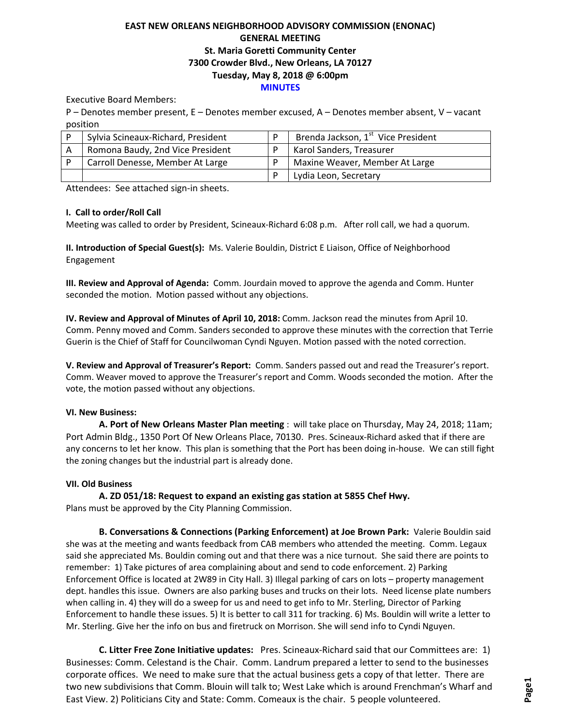# **EAST NEW ORLEANS NEIGHBORHOOD ADVISORY COMMISSION (ENONAC) GENERAL MEETING St. Maria Goretti Community Center 7300 Crowder Blvd., New Orleans, LA 70127 Tuesday, May 8, 2018 @ 6:00pm MINUTES**

Executive Board Members:

P – Denotes member present, E – Denotes member excused, A – Denotes member absent, V – vacant position

| Sylvia Scineaux-Richard, President | Brenda Jackson, 1 <sup>st</sup> Vice President |
|------------------------------------|------------------------------------------------|
| Romona Baudy, 2nd Vice President   | Karol Sanders, Treasurer                       |
| Carroll Denesse, Member At Large   | Maxine Weaver, Member At Large                 |
|                                    | Lydia Leon, Secretary                          |

Attendees: See attached sign-in sheets.

### **I. Call to order/Roll Call**

Meeting was called to order by President, Scineaux-Richard 6:08 p.m. After roll call, we had a quorum.

**II. Introduction of Special Guest(s):** Ms. Valerie Bouldin, District E Liaison, Office of Neighborhood Engagement

**III. Review and Approval of Agenda:** Comm. Jourdain moved to approve the agenda and Comm. Hunter seconded the motion. Motion passed without any objections.

**IV. Review and Approval of Minutes of April 10, 2018:** Comm. Jackson read the minutes from April 10. Comm. Penny moved and Comm. Sanders seconded to approve these minutes with the correction that Terrie Guerin is the Chief of Staff for Councilwoman Cyndi Nguyen. Motion passed with the noted correction.

**V. Review and Approval of Treasurer's Report:** Comm. Sanders passed out and read the Treasurer's report. Comm. Weaver moved to approve the Treasurer's report and Comm. Woods seconded the motion. After the vote, the motion passed without any objections.

# **VI. New Business:**

**A. Port of New Orleans Master Plan meeting** : will take place on Thursday, May 24, 2018; 11am; Port Admin Bldg., 1350 Port Of New Orleans Place, 70130. Pres. Scineaux-Richard asked that if there are any concerns to let her know. This plan is something that the Port has been doing in-house. We can still fight the zoning changes but the industrial part is already done.

# **VII. Old Business**

**A. ZD 051/18: Request to expand an existing gas station at 5855 Chef Hwy.**

Plans must be approved by the City Planning Commission.

**B. Conversations & Connections (Parking Enforcement) at Joe Brown Park:** Valerie Bouldin said she was at the meeting and wants feedback from CAB members who attended the meeting. Comm. Legaux said she appreciated Ms. Bouldin coming out and that there was a nice turnout. She said there are points to remember: 1) Take pictures of area complaining about and send to code enforcement. 2) Parking Enforcement Office is located at 2W89 in City Hall. 3) Illegal parking of cars on lots – property management dept. handles this issue. Owners are also parking buses and trucks on their lots. Need license plate numbers when calling in. 4) they will do a sweep for us and need to get info to Mr. Sterling, Director of Parking Enforcement to handle these issues. 5) It is better to call 311 for tracking. 6) Ms. Bouldin will write a letter to Mr. Sterling. Give her the info on bus and firetruck on Morrison. She will send info to Cyndi Nguyen.

**C. Litter Free Zone Initiative updates:** Pres. Scineaux-Richard said that our Committees are: 1) Businesses: Comm. Celestand is the Chair. Comm. Landrum prepared a letter to send to the businesses corporate offices. We need to make sure that the actual business gets a copy of that letter. There are two new subdivisions that Comm. Blouin will talk to; West Lake which is around Frenchman's Wharf and East View. 2) Politicians City and State: Comm. Comeaux is the chair. 5 people volunteered.